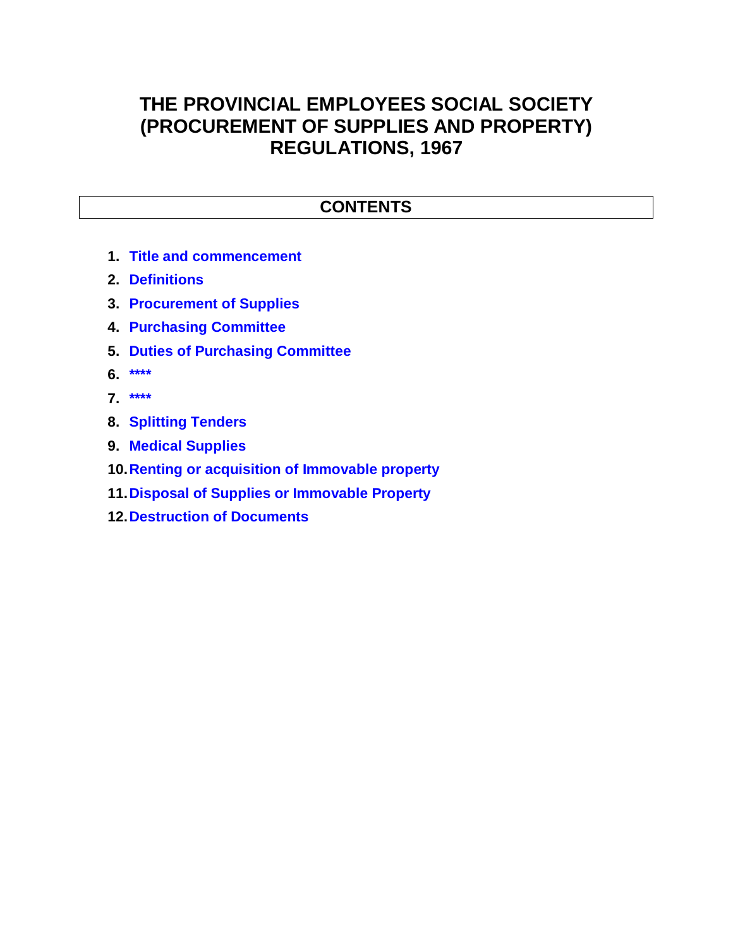## **THE PROVINCIAL EMPLOYEES SOCIAL SOCIETY (PROCUREMENT OF SUPPLIES AND PROPERTY) REGULATIONS, 1967**

## **CONTENTS**

- **1. Title and commencement**
- **2. Definitions**
- **3. Procurement of Supplies**
- **4. Purchasing Committee**
- **5. Duties of Purchasing Committee**
- **6. \*\*\*\***
- **7. \*\*\*\***
- **8. Splitting Tenders**
- **9. Medical Supplies**
- **10.Renting or acquisition of Immovable property**
- **11.Disposal of Supplies or Immovable Property**
- **12.Destruction of Documents**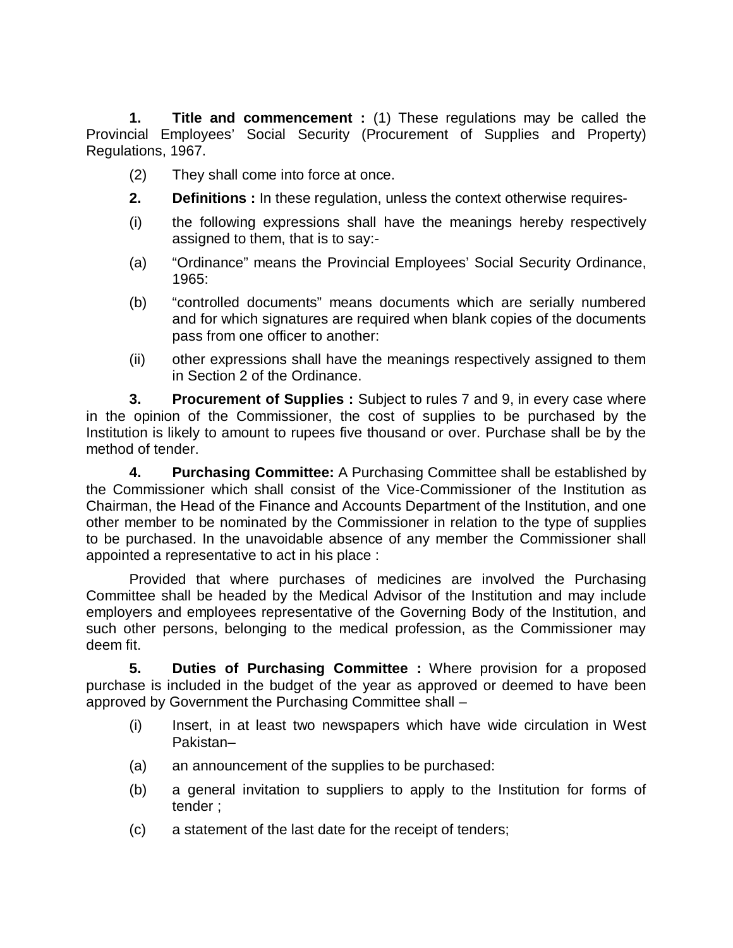**1. Title and commencement :** (1) These regulations may be called the Provincial Employees' Social Security (Procurement of Supplies and Property) Regulations, 1967.

- (2) They shall come into force at once.
- **2. Definitions :** In these regulation, unless the context otherwise requires-
- (i) the following expressions shall have the meanings hereby respectively assigned to them, that is to say:-
- (a) "Ordinance" means the Provincial Employees' Social Security Ordinance, 1965:
- (b) "controlled documents" means documents which are serially numbered and for which signatures are required when blank copies of the documents pass from one officer to another:
- (ii) other expressions shall have the meanings respectively assigned to them in Section 2 of the Ordinance.

**3. Procurement of Supplies :** Subject to rules 7 and 9, in every case where in the opinion of the Commissioner, the cost of supplies to be purchased by the Institution is likely to amount to rupees five thousand or over. Purchase shall be by the method of tender.

**4. Purchasing Committee:** A Purchasing Committee shall be established by the Commissioner which shall consist of the Vice-Commissioner of the Institution as Chairman, the Head of the Finance and Accounts Department of the Institution, and one other member to be nominated by the Commissioner in relation to the type of supplies to be purchased. In the unavoidable absence of any member the Commissioner shall appointed a representative to act in his place :

Provided that where purchases of medicines are involved the Purchasing Committee shall be headed by the Medical Advisor of the Institution and may include employers and employees representative of the Governing Body of the Institution, and such other persons, belonging to the medical profession, as the Commissioner may deem fit.

**5. Duties of Purchasing Committee :** Where provision for a proposed purchase is included in the budget of the year as approved or deemed to have been approved by Government the Purchasing Committee shall –

- (i) Insert, in at least two newspapers which have wide circulation in West Pakistan–
- (a) an announcement of the supplies to be purchased:
- (b) a general invitation to suppliers to apply to the Institution for forms of tender ;
- (c) a statement of the last date for the receipt of tenders;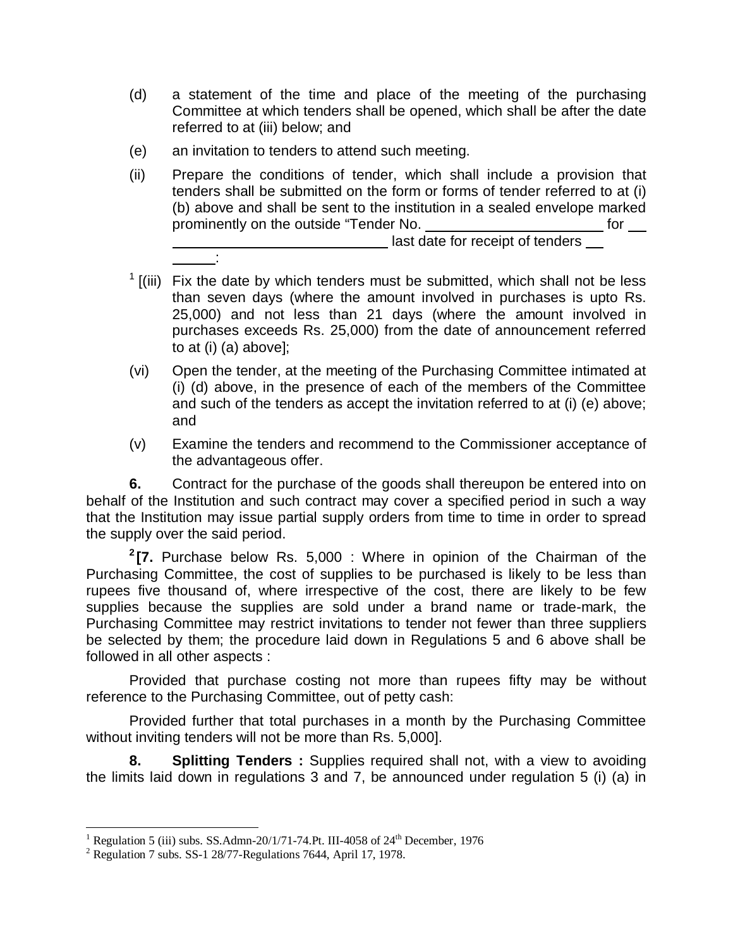- (d) a statement of the time and place of the meeting of the purchasing Committee at which tenders shall be opened, which shall be after the date referred to at (iii) below; and
- (e) an invitation to tenders to attend such meeting.

:

- (ii) Prepare the conditions of tender, which shall include a provision that tenders shall be submitted on the form or forms of tender referred to at (i) (b) above and shall be sent to the institution in a sealed envelope marked prominently on the outside "Tender No. The same of the state of the state of the state of the state of the state of the state of the state of the state of the state of the state of the state of the state of the state of th last date for receipt of tenders
- $1$  [(iii) Fix the date by which tenders must be submitted, which shall not be less than seven days (where the amount involved in purchases is upto Rs. 25,000) and not less than 21 days (where the amount involved in purchases exceeds Rs. 25,000) from the date of announcement referred to at (i) (a) above];
- (vi) Open the tender, at the meeting of the Purchasing Committee intimated at (i) (d) above, in the presence of each of the members of the Committee and such of the tenders as accept the invitation referred to at (i) (e) above; and
- (v) Examine the tenders and recommend to the Commissioner acceptance of the advantageous offer.

**6.** Contract for the purchase of the goods shall thereupon be entered into on behalf of the Institution and such contract may cover a specified period in such a way that the Institution may issue partial supply orders from time to time in order to spread the supply over the said period.

**2 [7.** Purchase below Rs. 5,000 : Where in opinion of the Chairman of the Purchasing Committee, the cost of supplies to be purchased is likely to be less than rupees five thousand of, where irrespective of the cost, there are likely to be few supplies because the supplies are sold under a brand name or trade-mark, the Purchasing Committee may restrict invitations to tender not fewer than three suppliers be selected by them; the procedure laid down in Regulations 5 and 6 above shall be followed in all other aspects :

Provided that purchase costing not more than rupees fifty may be without reference to the Purchasing Committee, out of petty cash:

Provided further that total purchases in a month by the Purchasing Committee without inviting tenders will not be more than Rs. 5,000].

**8. Splitting Tenders :** Supplies required shall not, with a view to avoiding the limits laid down in regulations 3 and 7, be announced under regulation 5 (i) (a) in

 $\overline{\phantom{a}}$ 

<sup>&</sup>lt;sup>1</sup> Regulation 5 (iii) subs. SS.Admn-20/1/71-74.Pt. III-4058 of 24<sup>th</sup> December, 1976

 $2$  Regulation 7 subs. SS-1 28/77-Regulations 7644, April 17, 1978.